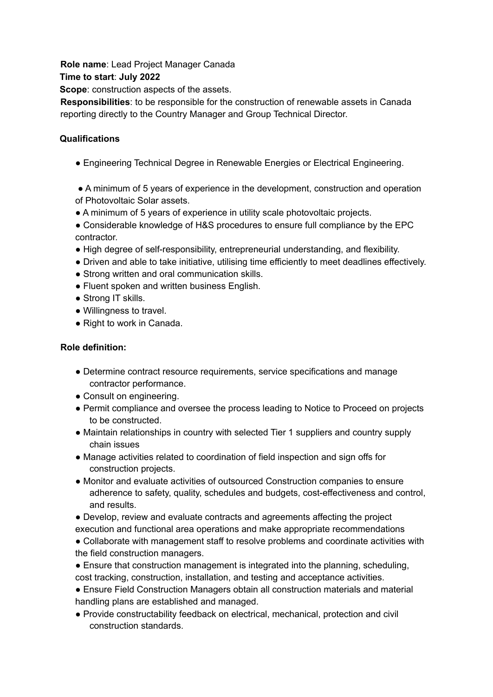**Role name**: Lead Project Manager Canada

**Time to start**: **July 2022**

**Scope**: construction aspects of the assets.

**Responsibilities**: to be responsible for the construction of renewable assets in Canada reporting directly to the Country Manager and Group Technical Director.

## **Qualifications**

- Engineering Technical Degree in Renewable Energies or Electrical Engineering.
- A minimum of 5 years of experience in the development, construction and operation of Photovoltaic Solar assets.
- A minimum of 5 years of experience in utility scale photovoltaic projects.
- Considerable knowledge of H&S procedures to ensure full compliance by the EPC contractor.
- High degree of self-responsibility, entrepreneurial understanding, and flexibility.
- Driven and able to take initiative, utilising time efficiently to meet deadlines effectively.
- Strong written and oral communication skills.
- Fluent spoken and written business English.
- Strong IT skills.
- Willingness to travel.
- Right to work in Canada.

## **Role definition:**

- Determine contract resource requirements, service specifications and manage contractor performance.
- Consult on engineering.
- Permit compliance and oversee the process leading to Notice to Proceed on projects to be constructed.
- Maintain relationships in country with selected Tier 1 suppliers and country supply chain issues
- Manage activities related to coordination of field inspection and sign offs for construction projects.
- Monitor and evaluate activities of outsourced Construction companies to ensure adherence to safety, quality, schedules and budgets, cost-effectiveness and control, and results.
- Develop, review and evaluate contracts and agreements affecting the project execution and functional area operations and make appropriate recommendations
- Collaborate with management staff to resolve problems and coordinate activities with the field construction managers.
- Ensure that construction management is integrated into the planning, scheduling, cost tracking, construction, installation, and testing and acceptance activities.
- Ensure Field Construction Managers obtain all construction materials and material handling plans are established and managed.
- Provide constructability feedback on electrical, mechanical, protection and civil construction standards.